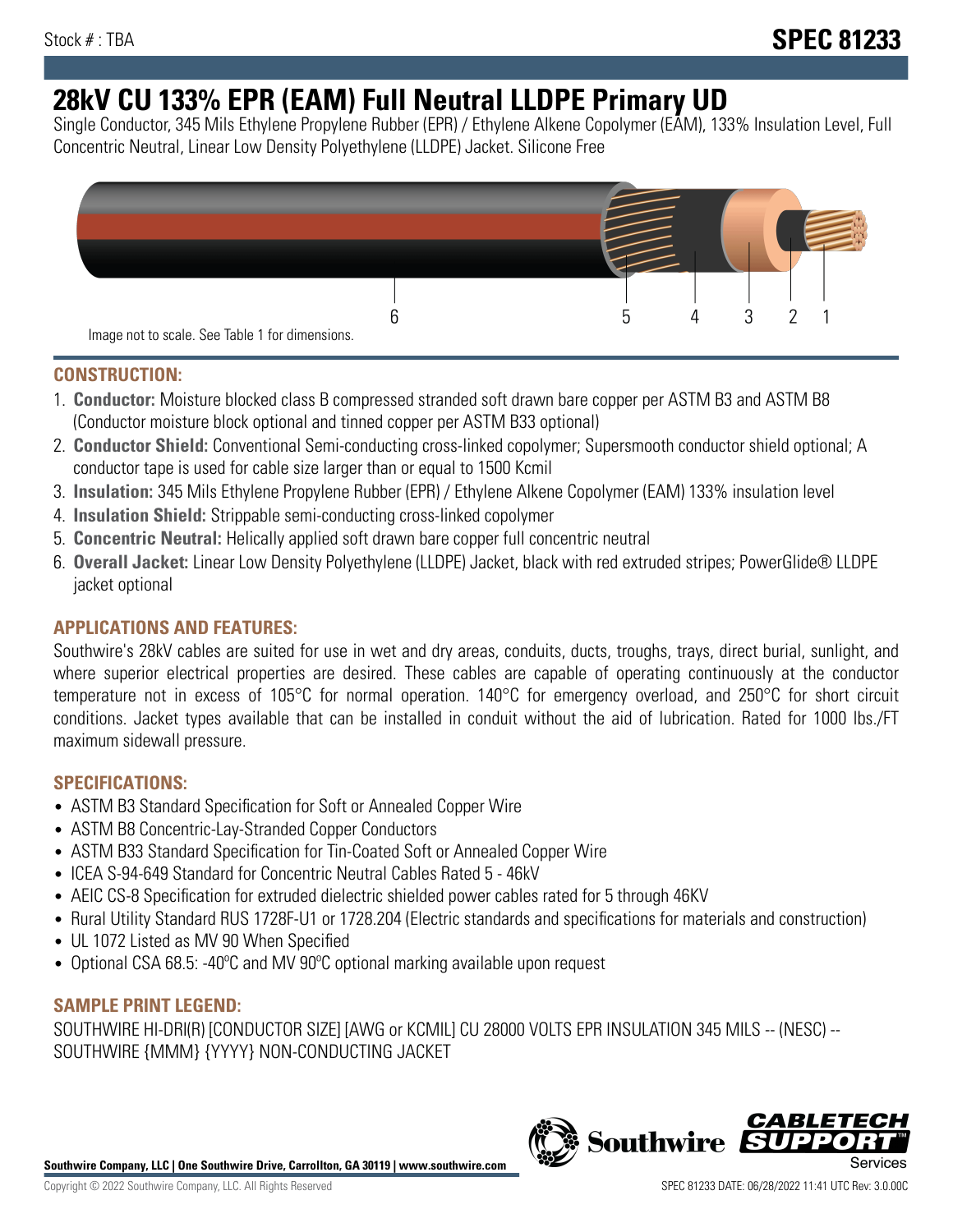# **28kV CU 133% EPR (EAM) Full Neutral LLDPE Primary UD**

Single Conductor, 345 Mils Ethylene Propylene Rubber (EPR) / Ethylene Alkene Copolymer (EAM), 133% Insulation Level, Full Concentric Neutral, Linear Low Density Polyethylene (LLDPE) Jacket. Silicone Free



# **CONSTRUCTION:**

- 1. **Conductor:** Moisture blocked class B compressed stranded soft drawn bare copper per ASTM B3 and ASTM B8 (Conductor moisture block optional and tinned copper per ASTM B33 optional)
- 2. **Conductor Shield:** Conventional Semi-conducting cross-linked copolymer; Supersmooth conductor shield optional; A conductor tape is used for cable size larger than or equal to 1500 Kcmil
- 3. **Insulation:** 345 Mils Ethylene Propylene Rubber (EPR) / Ethylene Alkene Copolymer (EAM) 133% insulation level
- 4. **Insulation Shield:** Strippable semi-conducting cross-linked copolymer
- 5. **Concentric Neutral:** Helically applied soft drawn bare copper full concentric neutral
- 6. **Overall Jacket:** Linear Low Density Polyethylene (LLDPE) Jacket, black with red extruded stripes; PowerGlide® LLDPE jacket optional

# **APPLICATIONS AND FEATURES:**

Southwire's 28kV cables are suited for use in wet and dry areas, conduits, ducts, troughs, trays, direct burial, sunlight, and where superior electrical properties are desired. These cables are capable of operating continuously at the conductor temperature not in excess of 105°C for normal operation. 140°C for emergency overload, and 250°C for short circuit conditions. Jacket types available that can be installed in conduit without the aid of lubrication. Rated for 1000 lbs./FT maximum sidewall pressure.

# **SPECIFICATIONS:**

- ASTM B3 Standard Specification for Soft or Annealed Copper Wire
- ASTM B8 Concentric-Lay-Stranded Copper Conductors
- ASTM B33 Standard Specification for Tin-Coated Soft or Annealed Copper Wire
- ICEA S-94-649 Standard for Concentric Neutral Cables Rated 5 46kV
- AEIC CS-8 Specification for extruded dielectric shielded power cables rated for 5 through 46KV
- Rural Utility Standard RUS 1728F-U1 or 1728.204 (Electric standards and specifications for materials and construction)
- UL 1072 Listed as MV 90 When Specified
- Optional CSA 68.5: -40°C and MV 90°C optional marking available upon request

# **SAMPLE PRINT LEGEND:**

SOUTHWIRE HI-DRI(R) [CONDUCTOR SIZE] [AWG or KCMIL] CU 28000 VOLTS EPR INSULATION 345 MILS -- (NESC) -- SOUTHWIRE {MMM} {YYYY} NON-CONDUCTING JACKET

**Southwire Company, LLC | One Southwire Drive, Carrollton, GA 30119 | www.southwire.com**